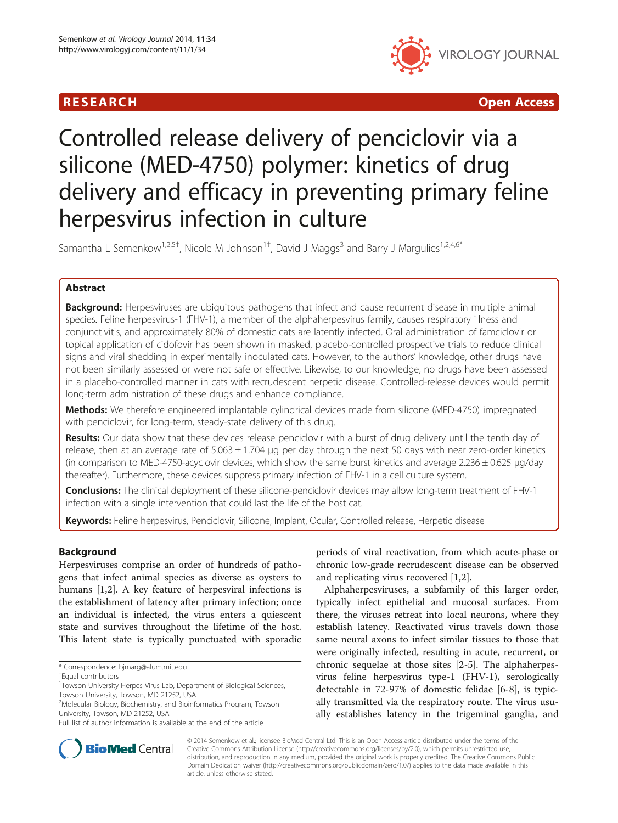# R E S EAR CH Open Access



# Controlled release delivery of penciclovir via a silicone (MED-4750) polymer: kinetics of drug delivery and efficacy in preventing primary feline herpesvirus infection in culture

Samantha L Semenkow<sup>1,2,5†</sup>, Nicole M Johnson<sup>1†</sup>, David J Maggs<sup>3</sup> and Barry J Margulies<sup>1,2,4,6\*</sup>

# Abstract

Background: Herpesviruses are ubiquitous pathogens that infect and cause recurrent disease in multiple animal species. Feline herpesvirus-1 (FHV-1), a member of the alphaherpesvirus family, causes respiratory illness and conjunctivitis, and approximately 80% of domestic cats are latently infected. Oral administration of famciclovir or topical application of cidofovir has been shown in masked, placebo-controlled prospective trials to reduce clinical signs and viral shedding in experimentally inoculated cats. However, to the authors' knowledge, other drugs have not been similarly assessed or were not safe or effective. Likewise, to our knowledge, no drugs have been assessed in a placebo-controlled manner in cats with recrudescent herpetic disease. Controlled-release devices would permit long-term administration of these drugs and enhance compliance.

Methods: We therefore engineered implantable cylindrical devices made from silicone (MED-4750) impregnated with penciclovir, for long-term, steady-state delivery of this drug.

Results: Our data show that these devices release penciclovir with a burst of drug delivery until the tenth day of release, then at an average rate of  $5.063 \pm 1.704$  µg per day through the next 50 days with near zero-order kinetics (in comparison to MED-4750-acyclovir devices, which show the same burst kinetics and average 2.236  $\pm$  0.625  $\mu$ g/day thereafter). Furthermore, these devices suppress primary infection of FHV-1 in a cell culture system.

Conclusions: The clinical deployment of these silicone-penciclovir devices may allow long-term treatment of FHV-1 infection with a single intervention that could last the life of the host cat.

Keywords: Feline herpesvirus, Penciclovir, Silicone, Implant, Ocular, Controlled release, Herpetic disease

# Background

Herpesviruses comprise an order of hundreds of pathogens that infect animal species as diverse as oysters to humans [\[1](#page-4-0),[2](#page-4-0)]. A key feature of herpesviral infections is the establishment of latency after primary infection; once an individual is infected, the virus enters a quiescent state and survives throughout the lifetime of the host. This latent state is typically punctuated with sporadic

periods of viral reactivation, from which acute-phase or chronic low-grade recrudescent disease can be observed and replicating virus recovered [[1](#page-4-0),[2\]](#page-4-0).

Alphaherpesviruses, a subfamily of this larger order, typically infect epithelial and mucosal surfaces. From there, the viruses retreat into local neurons, where they establish latency. Reactivated virus travels down those same neural axons to infect similar tissues to those that were originally infected, resulting in acute, recurrent, or chronic sequelae at those sites [\[2](#page-4-0)-[5\]](#page-4-0). The alphaherpesvirus feline herpesvirus type-1 (FHV-1), serologically detectable in 72-97% of domestic felidae [\[6](#page-4-0)-[8\]](#page-5-0), is typically transmitted via the respiratory route. The virus usually establishes latency in the trigeminal ganglia, and



© 2014 Semenkow et al.; licensee BioMed Central Ltd. This is an Open Access article distributed under the terms of the Creative Commons Attribution License (<http://creativecommons.org/licenses/by/2.0>), which permits unrestricted use, distribution, and reproduction in any medium, provided the original work is properly credited. The Creative Commons Public Domain Dedication waiver [\(http://creativecommons.org/publicdomain/zero/1.0/\)](http://creativecommons.org/publicdomain/zero/1.0/) applies to the data made available in this article, unless otherwise stated.

<sup>\*</sup> Correspondence: [bjmarg@alum.mit.edu](mailto:bjmarg@alum.mit.edu) †

Equal contributors

<sup>&</sup>lt;sup>1</sup>Towson University Herpes Virus Lab, Department of Biological Sciences, Towson University, Towson, MD 21252, USA

<sup>2</sup> Molecular Biology, Biochemistry, and Bioinformatics Program, Towson University, Towson, MD 21252, USA

Full list of author information is available at the end of the article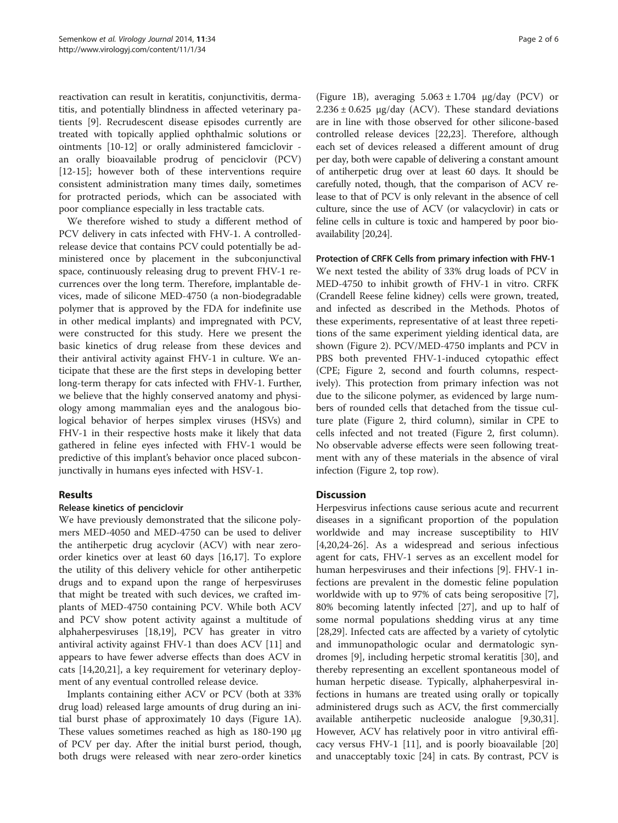reactivation can result in keratitis, conjunctivitis, dermatitis, and potentially blindness in affected veterinary patients [[9](#page-5-0)]. Recrudescent disease episodes currently are treated with topically applied ophthalmic solutions or ointments [\[10-12](#page-5-0)] or orally administered famciclovir an orally bioavailable prodrug of penciclovir (PCV) [[12-15](#page-5-0)]; however both of these interventions require consistent administration many times daily, sometimes for protracted periods, which can be associated with poor compliance especially in less tractable cats.

We therefore wished to study a different method of PCV delivery in cats infected with FHV-1. A controlledrelease device that contains PCV could potentially be administered once by placement in the subconjunctival space, continuously releasing drug to prevent FHV-1 recurrences over the long term. Therefore, implantable devices, made of silicone MED-4750 (a non-biodegradable polymer that is approved by the FDA for indefinite use in other medical implants) and impregnated with PCV, were constructed for this study. Here we present the basic kinetics of drug release from these devices and their antiviral activity against FHV-1 in culture. We anticipate that these are the first steps in developing better long-term therapy for cats infected with FHV-1. Further, we believe that the highly conserved anatomy and physiology among mammalian eyes and the analogous biological behavior of herpes simplex viruses (HSVs) and FHV-1 in their respective hosts make it likely that data gathered in feline eyes infected with FHV-1 would be predictive of this implant's behavior once placed subconjunctivally in humans eyes infected with HSV-1.

# Results

### Release kinetics of penciclovir

We have previously demonstrated that the silicone polymers MED-4050 and MED-4750 can be used to deliver the antiherpetic drug acyclovir (ACV) with near zeroorder kinetics over at least 60 days [\[16,17](#page-5-0)]. To explore the utility of this delivery vehicle for other antiherpetic drugs and to expand upon the range of herpesviruses that might be treated with such devices, we crafted implants of MED-4750 containing PCV. While both ACV and PCV show potent activity against a multitude of alphaherpesviruses [[18,19\]](#page-5-0), PCV has greater in vitro antiviral activity against FHV-1 than does ACV [\[11](#page-5-0)] and appears to have fewer adverse effects than does ACV in cats [\[14,20,21\]](#page-5-0), a key requirement for veterinary deployment of any eventual controlled release device.

Implants containing either ACV or PCV (both at 33% drug load) released large amounts of drug during an initial burst phase of approximately 10 days (Figure [1](#page-2-0)A). These values sometimes reached as high as 180-190 μg of PCV per day. After the initial burst period, though, both drugs were released with near zero-order kinetics

(Figure [1](#page-2-0)B), averaging  $5.063 \pm 1.704$  μg/day (PCV) or  $2.236 \pm 0.625$  μg/day (ACV). These standard deviations are in line with those observed for other silicone-based controlled release devices [[22,23](#page-5-0)]. Therefore, although each set of devices released a different amount of drug per day, both were capable of delivering a constant amount of antiherpetic drug over at least 60 days. It should be carefully noted, though, that the comparison of ACV release to that of PCV is only relevant in the absence of cell culture, since the use of ACV (or valacyclovir) in cats or feline cells in culture is toxic and hampered by poor bioavailability [\[20,24](#page-5-0)].

Protection of CRFK Cells from primary infection with FHV-1 We next tested the ability of 33% drug loads of PCV in MED-4750 to inhibit growth of FHV-1 in vitro. CRFK (Crandell Reese feline kidney) cells were grown, treated, and infected as described in the [Methods](#page-3-0). Photos of these experiments, representative of at least three repetitions of the same experiment yielding identical data, are shown (Figure [2\)](#page-3-0). PCV/MED-4750 implants and PCV in PBS both prevented FHV-1-induced cytopathic effect (CPE; Figure [2,](#page-3-0) second and fourth columns, respectively). This protection from primary infection was not due to the silicone polymer, as evidenced by large numbers of rounded cells that detached from the tissue culture plate (Figure [2](#page-3-0), third column), similar in CPE to cells infected and not treated (Figure [2,](#page-3-0) first column). No observable adverse effects were seen following treatment with any of these materials in the absence of viral infection (Figure [2](#page-3-0), top row).

# Discussion

Herpesvirus infections cause serious acute and recurrent diseases in a significant proportion of the population worldwide and may increase susceptibility to HIV [[4,](#page-4-0)[20,24-26](#page-5-0)]. As a widespread and serious infectious agent for cats, FHV-1 serves as an excellent model for human herpesviruses and their infections [\[9](#page-5-0)]. FHV-1 infections are prevalent in the domestic feline population worldwide with up to 97% of cats being seropositive [\[7](#page-5-0)], 80% becoming latently infected [[27](#page-5-0)], and up to half of some normal populations shedding virus at any time [[28,29\]](#page-5-0). Infected cats are affected by a variety of cytolytic and immunopathologic ocular and dermatologic syndromes [\[9](#page-5-0)], including herpetic stromal keratitis [\[30](#page-5-0)], and thereby representing an excellent spontaneous model of human herpetic disease. Typically, alphaherpesviral infections in humans are treated using orally or topically administered drugs such as ACV, the first commercially available antiherpetic nucleoside analogue [\[9,30,31](#page-5-0)]. However, ACV has relatively poor in vitro antiviral efficacy versus FHV-1 [\[11](#page-5-0)], and is poorly bioavailable [[20](#page-5-0)] and unacceptably toxic [[24\]](#page-5-0) in cats. By contrast, PCV is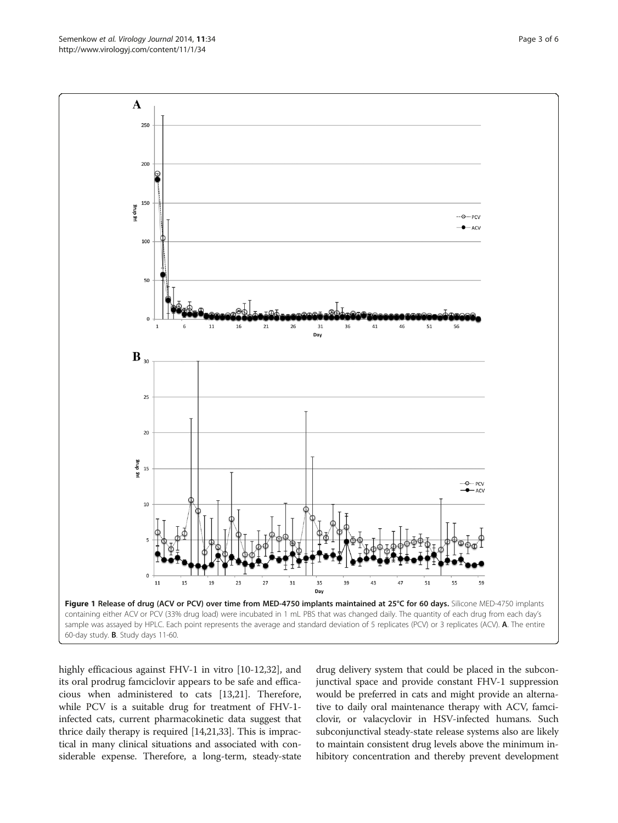<span id="page-2-0"></span>

highly efficacious against FHV-1 in vitro [[10](#page-5-0)-[12,32\]](#page-5-0), and its oral prodrug famciclovir appears to be safe and efficacious when administered to cats [\[13,21\]](#page-5-0). Therefore, while PCV is a suitable drug for treatment of FHV-1 infected cats, current pharmacokinetic data suggest that thrice daily therapy is required [\[14,21,33](#page-5-0)]. This is impractical in many clinical situations and associated with considerable expense. Therefore, a long-term, steady-state

drug delivery system that could be placed in the subconjunctival space and provide constant FHV-1 suppression would be preferred in cats and might provide an alternative to daily oral maintenance therapy with ACV, famciclovir, or valacyclovir in HSV-infected humans. Such subconjunctival steady-state release systems also are likely to maintain consistent drug levels above the minimum inhibitory concentration and thereby prevent development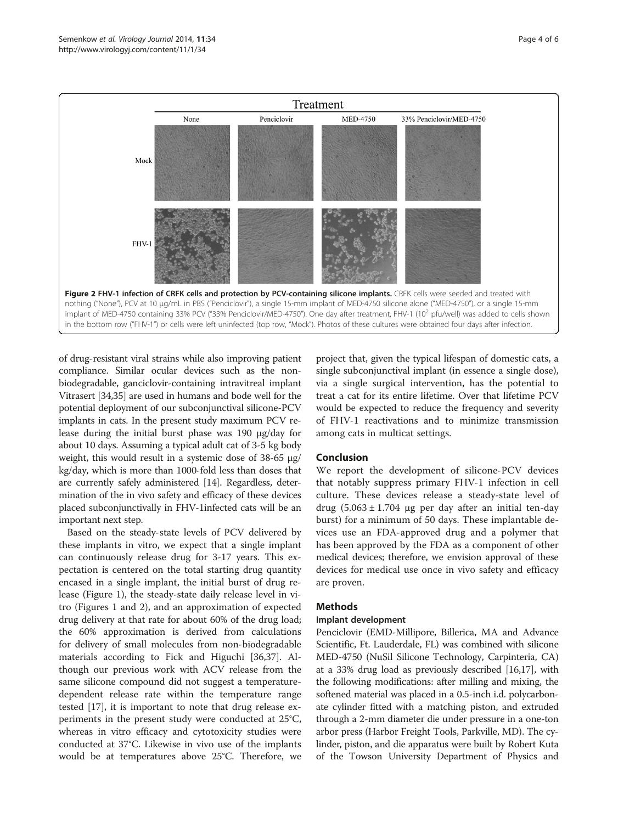<span id="page-3-0"></span>

of drug-resistant viral strains while also improving patient compliance. Similar ocular devices such as the nonbiodegradable, ganciclovir-containing intravitreal implant Vitrasert [\[34,35\]](#page-5-0) are used in humans and bode well for the potential deployment of our subconjunctival silicone-PCV implants in cats. In the present study maximum PCV release during the initial burst phase was 190 μg/day for about 10 days. Assuming a typical adult cat of 3-5 kg body weight, this would result in a systemic dose of 38-65 μg/ kg/day, which is more than 1000-fold less than doses that are currently safely administered [\[14\]](#page-5-0). Regardless, determination of the in vivo safety and efficacy of these devices placed subconjunctivally in FHV-1infected cats will be an important next step.

Based on the steady-state levels of PCV delivered by these implants in vitro, we expect that a single implant can continuously release drug for 3-17 years. This expectation is centered on the total starting drug quantity encased in a single implant, the initial burst of drug release (Figure [1\)](#page-2-0), the steady-state daily release level in vitro (Figures [1](#page-2-0) and 2), and an approximation of expected drug delivery at that rate for about 60% of the drug load; the 60% approximation is derived from calculations for delivery of small molecules from non-biodegradable materials according to Fick and Higuchi [[36,37](#page-5-0)]. Although our previous work with ACV release from the same silicone compound did not suggest a temperaturedependent release rate within the temperature range tested [[17](#page-5-0)], it is important to note that drug release experiments in the present study were conducted at 25°C, whereas in vitro efficacy and cytotoxicity studies were conducted at 37°C. Likewise in vivo use of the implants would be at temperatures above 25°C. Therefore, we

project that, given the typical lifespan of domestic cats, a single subconjunctival implant (in essence a single dose), via a single surgical intervention, has the potential to treat a cat for its entire lifetime. Over that lifetime PCV would be expected to reduce the frequency and severity of FHV-1 reactivations and to minimize transmission among cats in multicat settings.

## Conclusion

We report the development of silicone-PCV devices that notably suppress primary FHV-1 infection in cell culture. These devices release a steady-state level of drug  $(5.063 \pm 1.704 \mu g$  per day after an initial ten-day burst) for a minimum of 50 days. These implantable devices use an FDA-approved drug and a polymer that has been approved by the FDA as a component of other medical devices; therefore, we envision approval of these devices for medical use once in vivo safety and efficacy are proven.

## Methods

## Implant development

Penciclovir (EMD-Millipore, Billerica, MA and Advance Scientific, Ft. Lauderdale, FL) was combined with silicone MED-4750 (NuSil Silicone Technology, Carpinteria, CA) at a 33% drug load as previously described [\[16,17\]](#page-5-0), with the following modifications: after milling and mixing, the softened material was placed in a 0.5-inch i.d. polycarbonate cylinder fitted with a matching piston, and extruded through a 2-mm diameter die under pressure in a one-ton arbor press (Harbor Freight Tools, Parkville, MD). The cylinder, piston, and die apparatus were built by Robert Kuta of the Towson University Department of Physics and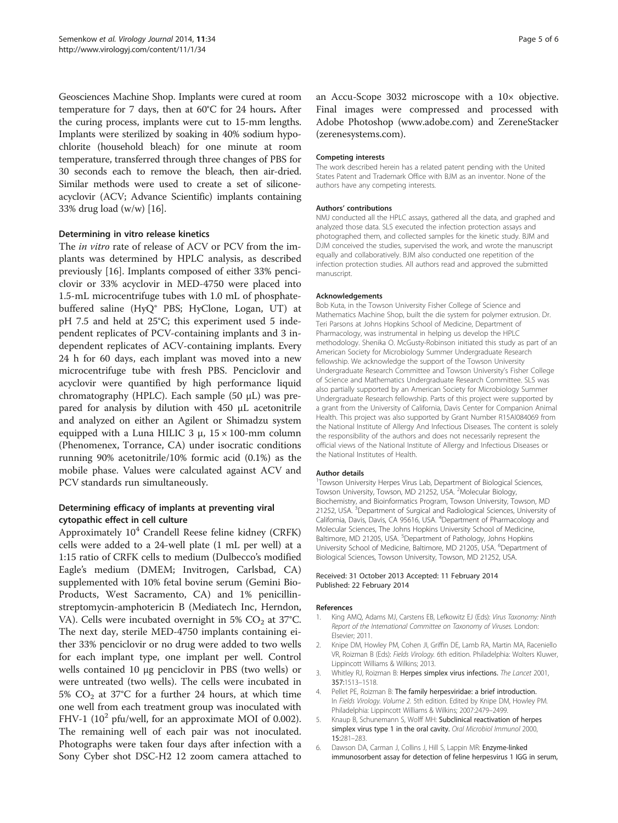<span id="page-4-0"></span>Geosciences Machine Shop. Implants were cured at room temperature for 7 days, then at 60°C for 24 hours. After the curing process, implants were cut to 15-mm lengths. Implants were sterilized by soaking in 40% sodium hypochlorite (household bleach) for one minute at room temperature, transferred through three changes of PBS for 30 seconds each to remove the bleach, then air-dried. Similar methods were used to create a set of siliconeacyclovir (ACV; Advance Scientific) implants containing 33% drug load (w/w) [\[16](#page-5-0)].

#### Determining in vitro release kinetics

The in vitro rate of release of ACV or PCV from the implants was determined by HPLC analysis, as described previously [[16\]](#page-5-0). Implants composed of either 33% penciclovir or 33% acyclovir in MED-4750 were placed into 1.5-mL microcentrifuge tubes with 1.0 mL of phosphatebuffered saline (HyQ® PBS; HyClone, Logan, UT) at pH 7.5 and held at 25°C; this experiment used 5 independent replicates of PCV-containing implants and 3 independent replicates of ACV-containing implants. Every 24 h for 60 days, each implant was moved into a new microcentrifuge tube with fresh PBS. Penciclovir and acyclovir were quantified by high performance liquid chromatography (HPLC). Each sample (50 μL) was prepared for analysis by dilution with 450 μL acetonitrile and analyzed on either an Agilent or Shimadzu system equipped with a Luna HILIC 3 μ,  $15 \times 100$ -mm column (Phenomenex, Torrance, CA) under isocratic conditions running 90% acetonitrile/10% formic acid (0.1%) as the mobile phase. Values were calculated against ACV and PCV standards run simultaneously.

# Determining efficacy of implants at preventing viral cytopathic effect in cell culture

Approximately  $10^4$  Crandell Reese feline kidney (CRFK) cells were added to a 24-well plate (1 mL per well) at a 1:15 ratio of CRFK cells to medium (Dulbecco's modified Eagle's medium (DMEM; Invitrogen, Carlsbad, CA) supplemented with 10% fetal bovine serum (Gemini Bio-Products, West Sacramento, CA) and 1% penicillinstreptomycin-amphotericin B (Mediatech Inc, Herndon, VA). Cells were incubated overnight in 5%  $CO<sub>2</sub>$  at 37°C. The next day, sterile MED-4750 implants containing either 33% penciclovir or no drug were added to two wells for each implant type, one implant per well. Control wells contained 10 μg penciclovir in PBS (two wells) or were untreated (two wells). The cells were incubated in 5%  $CO<sub>2</sub>$  at 37°C for a further 24 hours, at which time one well from each treatment group was inoculated with FHV-1 ( $10<sup>2</sup>$  pfu/well, for an approximate MOI of 0.002). The remaining well of each pair was not inoculated. Photographs were taken four days after infection with a Sony Cyber shot DSC-H2 12 zoom camera attached to

an Accu-Scope 3032 microscope with a 10× objective. Final images were compressed and processed with Adobe Photoshop ([www.adobe.com\)](http://www.adobe.com) and ZereneStacker (zerenesystems.com).

#### Competing interests

The work described herein has a related patent pending with the United States Patent and Trademark Office with BJM as an inventor. None of the authors have any competing interests.

#### Authors' contributions

NMJ conducted all the HPLC assays, gathered all the data, and graphed and analyzed those data. SLS executed the infection protection assays and photographed them, and collected samples for the kinetic study. BJM and DJM conceived the studies, supervised the work, and wrote the manuscript equally and collaboratively. BJM also conducted one repetition of the infection protection studies. All authors read and approved the submitted manuscript.

#### Acknowledgements

Bob Kuta, in the Towson University Fisher College of Science and Mathematics Machine Shop, built the die system for polymer extrusion. Dr. Teri Parsons at Johns Hopkins School of Medicine, Department of Pharmacology, was instrumental in helping us develop the HPLC methodology. Shenika O. McGusty-Robinson initiated this study as part of an American Society for Microbiology Summer Undergraduate Research fellowship. We acknowledge the support of the Towson University Undergraduate Research Committee and Towson University's Fisher College of Science and Mathematics Undergraduate Research Committee. SLS was also partially supported by an American Society for Microbiology Summer Undergraduate Research fellowship. Parts of this project were supported by a grant from the University of California, Davis Center for Companion Animal Health. This project was also supported by Grant Number R15AI084069 from the National Institute of Allergy And Infectious Diseases. The content is solely the responsibility of the authors and does not necessarily represent the official views of the National Institute of Allergy and Infectious Diseases or the National Institutes of Health.

#### Author details

<sup>1</sup>Towson University Herpes Virus Lab, Department of Biological Sciences, Towson University, Towson, MD 21252, USA. <sup>2</sup>Molecular Biology Biochemistry, and Bioinformatics Program, Towson University, Towson, MD 21252, USA. <sup>3</sup>Department of Surgical and Radiological Sciences, University of California, Davis, Davis, CA 95616, USA. <sup>4</sup>Department of Pharmacology and Molecular Sciences, The Johns Hopkins University School of Medicine, Baltimore, MD 21205, USA. <sup>5</sup>Department of Pathology, Johns Hopkins University School of Medicine, Baltimore, MD 21205, USA. <sup>6</sup>Department of Biological Sciences, Towson University, Towson, MD 21252, USA.

#### Received: 31 October 2013 Accepted: 11 February 2014 Published: 22 February 2014

#### References

- 1. King AMQ, Adams MJ, Carstens EB, Lefkowitz EJ (Eds): Virus Taxonomy: Ninth Report of the International Committee on Taxonomy of Viruses. London: Elsevier; 2011.
- 2. Knipe DM, Howley PM, Cohen JI, Griffin DE, Lamb RA, Martin MA, Raceniello VR, Roizman B (Eds): Fields Virology. 6th edition. Philadelphia: Wolters Kluwer, Lippincott Williams & Wilkins; 2013.
- 3. Whitley RJ, Roizman B: Herpes simplex virus infections. The Lancet 2001, 357:1513–1518.
- 4. Pellet PE, Roizman B: The family herpesviridae: a brief introduction. In Fields Virology. Volume 2. 5th edition. Edited by Knipe DM, Howley PM. Philadelphia: Lippincott Williams & Wilkins; 2007:2479–2499.
- 5. Knaup B, Schunemann S, Wolff MH: Subclinical reactivation of herpes simplex virus type 1 in the oral cavity. Oral Microbiol Immunol 2000, 15:281–283.
- 6. Dawson DA, Carman J, Collins J, Hill S, Lappin MR: Enzyme-linked immunosorbent assay for detection of feline herpesvirus 1 IGG in serum,